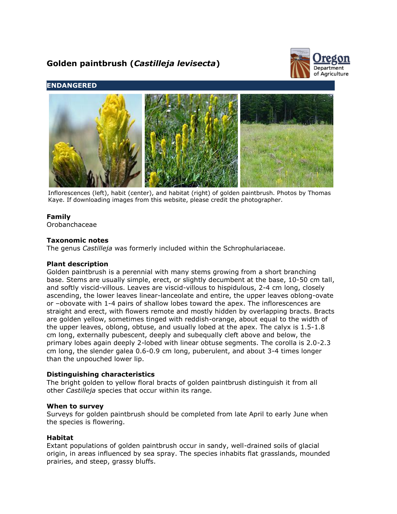# **Golden paintbrush (***Castilleja levisecta***)**



# **ENDANGERED**



Inflorescences (left), habit (center), and habitat (right) of golden paintbrush. Photos by Thomas Kaye. If downloading images from this website, please credit the photographer.

## **Family**

Orobanchaceae

## **Taxonomic notes**

The genus *Castilleja* was formerly included within the Schrophulariaceae.

#### **Plant description**

Golden paintbrush is a perennial with many stems growing from a short branching base. Stems are usually simple, erect, or slightly decumbent at the base, 10-50 cm tall, and softly viscid-villous. Leaves are viscid-villous to hispidulous, 2-4 cm long, closely ascending, the lower leaves linear-lanceolate and entire, the upper leaves oblong-ovate or –obovate with 1-4 pairs of shallow lobes toward the apex. The inflorescences are straight and erect, with flowers remote and mostly hidden by overlapping bracts. Bracts are golden yellow, sometimes tinged with reddish-orange, about equal to the width of the upper leaves, oblong, obtuse, and usually lobed at the apex. The calyx is 1.5-1.8 cm long, externally pubescent, deeply and subequally cleft above and below, the primary lobes again deeply 2-lobed with linear obtuse segments. The corolla is 2.0-2.3 cm long, the slender galea 0.6-0.9 cm long, puberulent, and about 3-4 times longer than the unpouched lower lip.

## **Distinguishing characteristics**

The bright golden to yellow floral bracts of golden paintbrush distinguish it from all other *Castilleja* species that occur within its range.

#### **When to survey**

Surveys for golden paintbrush should be completed from late April to early June when the species is flowering.

#### **Habitat**

Extant populations of golden paintbrush occur in sandy, well-drained soils of glacial origin, in areas influenced by sea spray. The species inhabits flat grasslands, mounded prairies, and steep, grassy bluffs.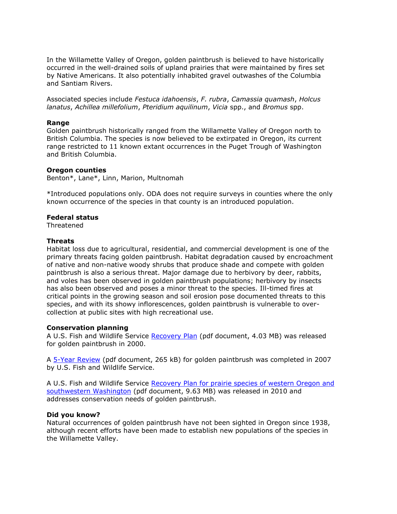In the Willamette Valley of Oregon, golden paintbrush is believed to have historically occurred in the well-drained soils of upland prairies that were maintained by fires set by Native Americans. It also potentially inhabited gravel outwashes of the Columbia and Santiam Rivers.

Associated species include *Festuca idahoensis*, *F. rubra*, *Camassia quamash*, *Holcus lanatus*, *Achillea millefolium*, *Pteridium aquilinum*, *Vicia* spp., and *Bromus* spp.

#### **Range**

Golden paintbrush historically ranged from the Willamette Valley of Oregon north to British Columbia. The species is now believed to be extirpated in Oregon, its current range restricted to 11 known extant occurrences in the Puget Trough of Washington and British Columbia.

## **Oregon counties**

Benton\*, Lane\*, Linn, Marion, Multnomah

\*Introduced populations only. ODA does not require surveys in counties where the only known occurrence of the species in that county is an introduced population.

# **Federal status**

**Threatened** 

# **Threats**

Habitat loss due to agricultural, residential, and commercial development is one of the primary threats facing golden paintbrush. Habitat degradation caused by encroachment of native and non-native woody shrubs that produce shade and compete with golden paintbrush is also a serious threat. Major damage due to herbivory by deer, rabbits, and voles has been observed in golden paintbrush populations; herbivory by insects has also been observed and poses a minor threat to the species. Ill-timed fires at critical points in the growing season and soil erosion pose documented threats to this species, and with its showy inflorescences, golden paintbrush is vulnerable to overcollection at public sites with high recreational use.

# **Conservation planning**

A U.S. Fish and Wildlife Service [Recovery Plan](http://ecos.fws.gov/docs/recovery_plan/000823.pdf) (pdf document, 4.03 MB) was released for golden paintbrush in 2000.

A [5-Year Review](http://ecos.fws.gov/docs/five_year_review/doc1764.pdf) (pdf document, 265 kB) for golden paintbrush was completed in 2007 by U.S. Fish and Wildlife Service.

A U.S. Fish and Wildlife Service [Recovery Plan for prairie species of western Oregon and](http://ecos.fws.gov/docs/recovery_plan/100629.pdf)  [southwestern Washington](http://ecos.fws.gov/docs/recovery_plan/100629.pdf) (pdf document, 9.63 MB) was released in 2010 and addresses conservation needs of golden paintbrush.

# **Did you know?**

Natural occurrences of golden paintbrush have not been sighted in Oregon since 1938, although recent efforts have been made to establish new populations of the species in the Willamette Valley.